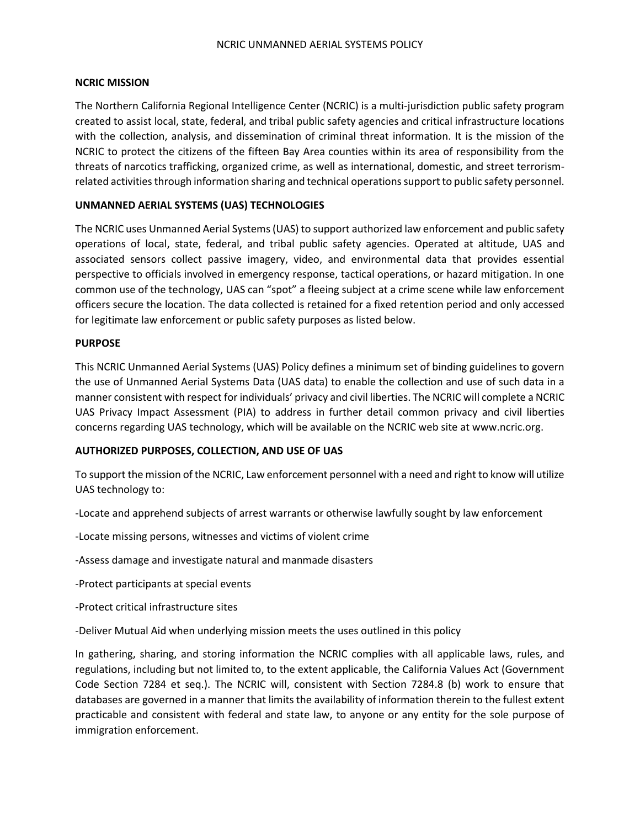# **NCRIC MISSION**

The Northern California Regional Intelligence Center (NCRIC) is a multi-jurisdiction public safety program created to assist local, state, federal, and tribal public safety agencies and critical infrastructure locations with the collection, analysis, and dissemination of criminal threat information. It is the mission of the NCRIC to protect the citizens of the fifteen Bay Area counties within its area of responsibility from the threats of narcotics trafficking, organized crime, as well as international, domestic, and street terrorismrelated activities through information sharing and technical operations support to public safety personnel.

# **UNMANNED AERIAL SYSTEMS (UAS) TECHNOLOGIES**

The NCRIC uses Unmanned Aerial Systems (UAS) to support authorized law enforcement and public safety operations of local, state, federal, and tribal public safety agencies. Operated at altitude, UAS and associated sensors collect passive imagery, video, and environmental data that provides essential perspective to officials involved in emergency response, tactical operations, or hazard mitigation. In one common use of the technology, UAS can "spot" a fleeing subject at a crime scene while law enforcement officers secure the location. The data collected is retained for a fixed retention period and only accessed for legitimate law enforcement or public safety purposes as listed below.

# **PURPOSE**

This NCRIC Unmanned Aerial Systems (UAS) Policy defines a minimum set of binding guidelines to govern the use of Unmanned Aerial Systems Data (UAS data) to enable the collection and use of such data in a manner consistent with respect for individuals' privacy and civil liberties. The NCRIC will complete a NCRIC UAS Privacy Impact Assessment (PIA) to address in further detail common privacy and civil liberties concerns regarding UAS technology, which will be available on the NCRIC web site at www.ncric.org.

# **AUTHORIZED PURPOSES, COLLECTION, AND USE OF UAS**

To support the mission of the NCRIC, Law enforcement personnel with a need and right to know will utilize UAS technology to:

-Locate and apprehend subjects of arrest warrants or otherwise lawfully sought by law enforcement

-Locate missing persons, witnesses and victims of violent crime

-Assess damage and investigate natural and manmade disasters

-Protect participants at special events

-Protect critical infrastructure sites

-Deliver Mutual Aid when underlying mission meets the uses outlined in this policy

In gathering, sharing, and storing information the NCRIC complies with all applicable laws, rules, and regulations, including but not limited to, to the extent applicable, the California Values Act (Government Code Section 7284 et seq.). The NCRIC will, consistent with Section 7284.8 (b) work to ensure that databases are governed in a manner that limits the availability of information therein to the fullest extent practicable and consistent with federal and state law, to anyone or any entity for the sole purpose of immigration enforcement.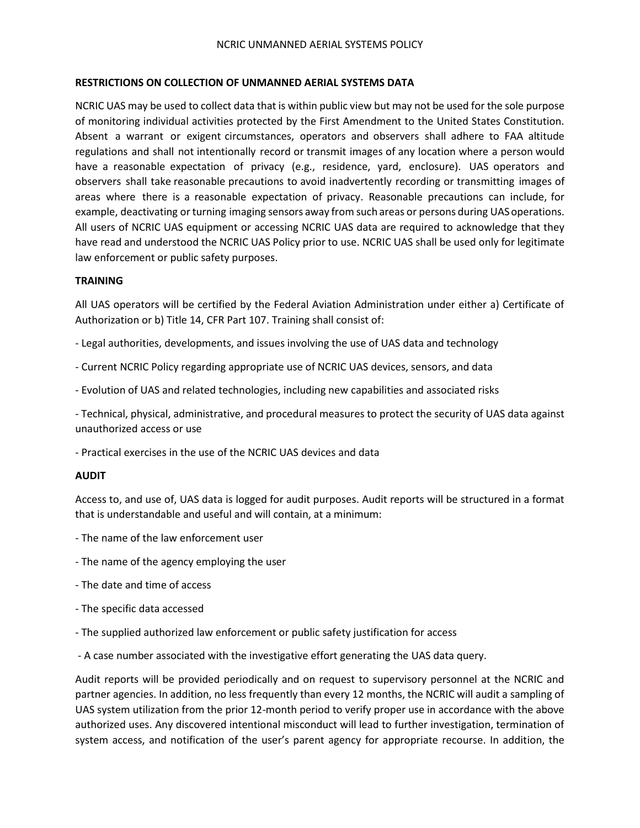#### **RESTRICTIONS ON COLLECTION OF UNMANNED AERIAL SYSTEMS DATA**

NCRIC UAS may be used to collect data that is within public view but may not be used for the sole purpose of monitoring individual activities protected by the First Amendment to the United States Constitution. Absent a warrant or exigent circumstances, operators and observers shall adhere to FAA altitude regulations and shall not intentionally record or transmit images of any location where a person would have a reasonable expectation of privacy (e.g., residence, yard, enclosure). UAS operators and observers shall take reasonable precautions to avoid inadvertently recording or transmitting images of areas where there is a reasonable expectation of privacy. Reasonable precautions can include, for example, deactivating or turning imaging sensors away from such areas or persons during UAS operations. All users of NCRIC UAS equipment or accessing NCRIC UAS data are required to acknowledge that they have read and understood the NCRIC UAS Policy prior to use. NCRIC UAS shall be used only for legitimate law enforcement or public safety purposes.

#### **TRAINING**

All UAS operators will be certified by the Federal Aviation Administration under either a) Certificate of Authorization or b) Title 14, CFR Part 107. Training shall consist of:

- Legal authorities, developments, and issues involving the use of UAS data and technology
- Current NCRIC Policy regarding appropriate use of NCRIC UAS devices, sensors, and data
- Evolution of UAS and related technologies, including new capabilities and associated risks

- Technical, physical, administrative, and procedural measures to protect the security of UAS data against unauthorized access or use

- Practical exercises in the use of the NCRIC UAS devices and data

#### **AUDIT**

Access to, and use of, UAS data is logged for audit purposes. Audit reports will be structured in a format that is understandable and useful and will contain, at a minimum:

- The name of the law enforcement user
- The name of the agency employing the user
- The date and time of access
- The specific data accessed
- The supplied authorized law enforcement or public safety justification for access
- A case number associated with the investigative effort generating the UAS data query.

Audit reports will be provided periodically and on request to supervisory personnel at the NCRIC and partner agencies. In addition, no less frequently than every 12 months, the NCRIC will audit a sampling of UAS system utilization from the prior 12-month period to verify proper use in accordance with the above authorized uses. Any discovered intentional misconduct will lead to further investigation, termination of system access, and notification of the user's parent agency for appropriate recourse. In addition, the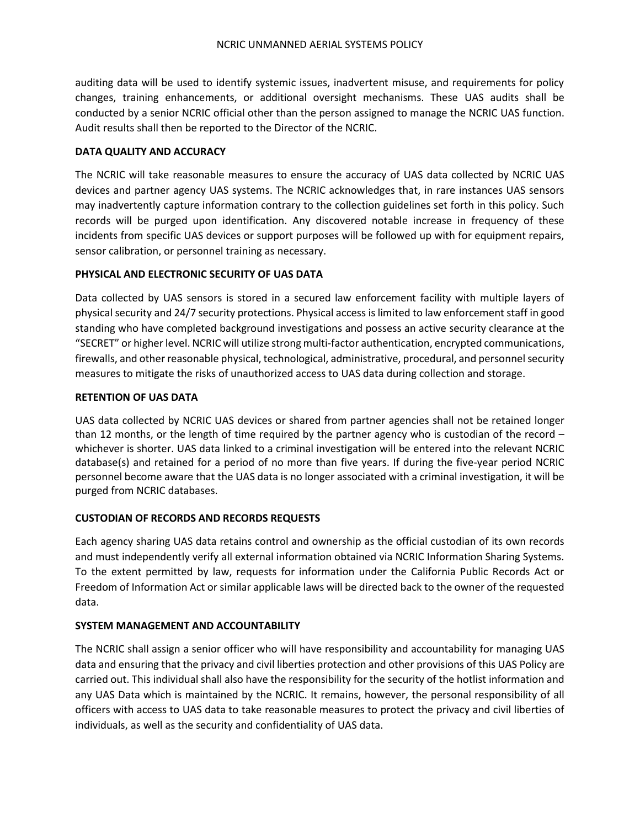auditing data will be used to identify systemic issues, inadvertent misuse, and requirements for policy changes, training enhancements, or additional oversight mechanisms. These UAS audits shall be conducted by a senior NCRIC official other than the person assigned to manage the NCRIC UAS function. Audit results shall then be reported to the Director of the NCRIC.

# **DATA QUALITY AND ACCURACY**

The NCRIC will take reasonable measures to ensure the accuracy of UAS data collected by NCRIC UAS devices and partner agency UAS systems. The NCRIC acknowledges that, in rare instances UAS sensors may inadvertently capture information contrary to the collection guidelines set forth in this policy. Such records will be purged upon identification. Any discovered notable increase in frequency of these incidents from specific UAS devices or support purposes will be followed up with for equipment repairs, sensor calibration, or personnel training as necessary.

# **PHYSICAL AND ELECTRONIC SECURITY OF UAS DATA**

Data collected by UAS sensors is stored in a secured law enforcement facility with multiple layers of physical security and 24/7 security protections. Physical access is limited to law enforcement staff in good standing who have completed background investigations and possess an active security clearance at the "SECRET" or higher level. NCRIC will utilize strong multi-factor authentication, encrypted communications, firewalls, and other reasonable physical, technological, administrative, procedural, and personnel security measures to mitigate the risks of unauthorized access to UAS data during collection and storage.

# **RETENTION OF UAS DATA**

UAS data collected by NCRIC UAS devices or shared from partner agencies shall not be retained longer than 12 months, or the length of time required by the partner agency who is custodian of the record – whichever is shorter. UAS data linked to a criminal investigation will be entered into the relevant NCRIC database(s) and retained for a period of no more than five years. If during the five-year period NCRIC personnel become aware that the UAS data is no longer associated with a criminal investigation, it will be purged from NCRIC databases.

# **CUSTODIAN OF RECORDS AND RECORDS REQUESTS**

Each agency sharing UAS data retains control and ownership as the official custodian of its own records and must independently verify all external information obtained via NCRIC Information Sharing Systems. To the extent permitted by law, requests for information under the California Public Records Act or Freedom of Information Act or similar applicable laws will be directed back to the owner of the requested data.

# **SYSTEM MANAGEMENT AND ACCOUNTABILITY**

The NCRIC shall assign a senior officer who will have responsibility and accountability for managing UAS data and ensuring that the privacy and civil liberties protection and other provisions of this UAS Policy are carried out. This individual shall also have the responsibility for the security of the hotlist information and any UAS Data which is maintained by the NCRIC. It remains, however, the personal responsibility of all officers with access to UAS data to take reasonable measures to protect the privacy and civil liberties of individuals, as well as the security and confidentiality of UAS data.